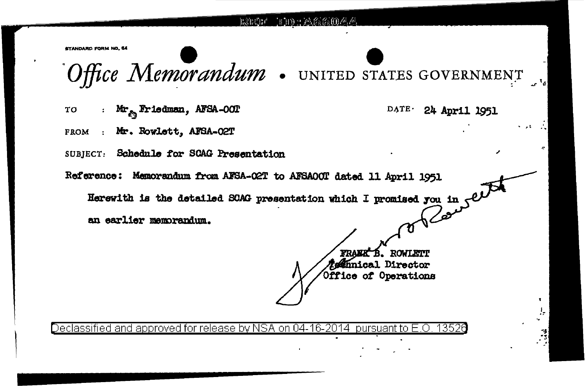

STANDARD FORM NO. 64

Office Memorandum . UNITED STATES GOVERNMENT

: Mr<sub>am</sub> Friedman, AFSA-OOT TO FROM : Mr. Rowlett. AFSA-02T

DATE 24 April 1951

N

SUBJECT: Schedule for SCAG Presentation

Reference: Memorandum from AFSA-02T to AFSA00T dated 11 April 1951

Herewith is the detailed SCAG presentation which I promised you in  $\mathcal{C}$ <br>an earlier memoranium

an earlier memorandum.

**ROWLETT** *Admical* Director Office of Operations

Declassified and approved for release by NSA on 04-16-2014  $\,$  pursuant to E.O  $\,$ -13526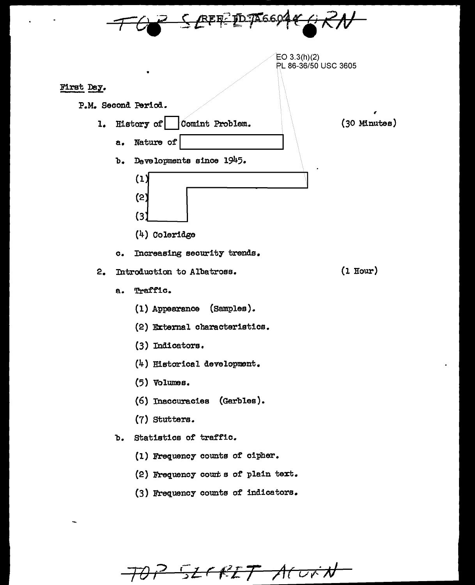

70 P 52 F RIT ACURN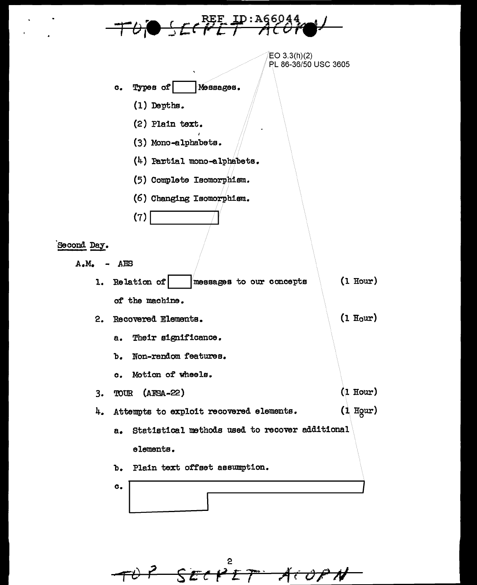

 $EO$  3.3(h)(2) PL 86-36/50 USC 3605

 $(1)$  Hour)

 $(1$  Hour)

 $(1$  Hour)

- Types of Мезвадев.  $\mathbf{c}_{\bullet}$ 
	- (1) Depths.
	- (2) Plain text.
	- (3) Mono-alphabets.
	- $(4)$  Partial mono-alphabets.
	- (5) Complete Isomorphism.
	- (6) Changing Isomorphism.

Second Day.

- $A.M.$ AES
	- $(1 Hour)$ 1. Relation of messages to our concepts of the machine.
	- 2. Recovered Elements.
		- Their significance.  $a.$
		- Non-random features.  $b.$
		- c. Motion of wheels.
	- TOUR (AFSA-22)  $3.$

 $(7)$ 

- 4. Attempts to exploit recovered elements.
	- Statistical methods used to recover additional  $a<sub>z</sub>$ elements.
	- Plain text offset assumption.  $\mathbf{b}$ .
	- $\mathbf{c}_{\bullet}$